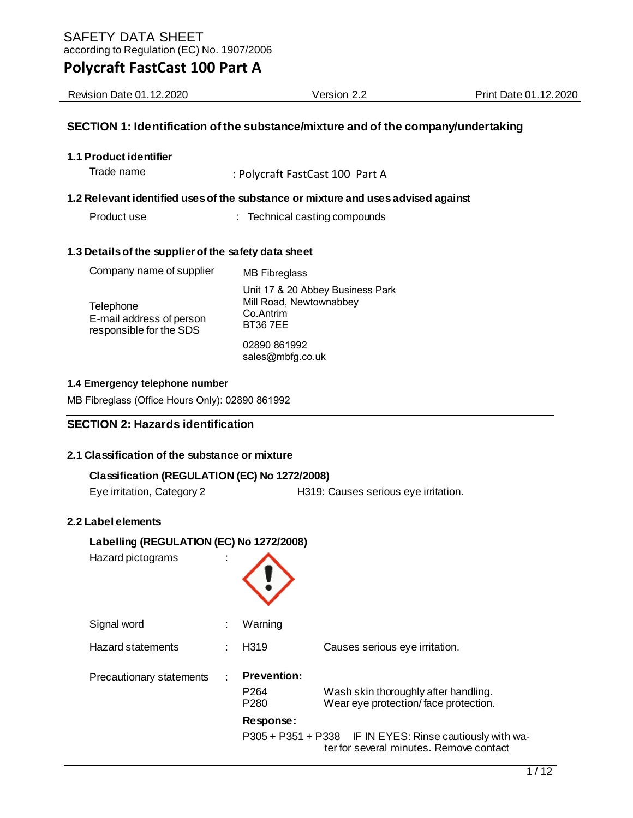| <b>Revision Date 01.12.2020</b> | Version ∠.∠ | .12.2020<br>Print Date 01. |
|---------------------------------|-------------|----------------------------|
|                                 |             |                            |

## **SECTION 1: Identification of the substance/mixture and of the company/undertaking**

**1.1 Product identifier** 

Trade name : Polycraft FastCast 100 Part A

#### **1.2 Relevant identified uses of the substance or mixture and uses advised against**

Product use : Technical casting compounds

#### **1.3 Details of the supplier of the safety data sheet**

| Company name of supplier                                         | <b>MB</b> Fibreglass                                                                       |
|------------------------------------------------------------------|--------------------------------------------------------------------------------------------|
| Telephone<br>E-mail address of person<br>responsible for the SDS | Unit 17 & 20 Abbey Business Park<br>Mill Road, Newtownabbey<br>Co.Antrim<br><b>BT367EE</b> |
|                                                                  | 02890 861992<br>sales@mbfg.co.uk                                                           |

#### **1.4 Emergency telephone number**

MB Fibreglass (Office Hours Only): 02890 861992

## **SECTION 2: Hazards identification**

## **2.1 Classification of the substance or mixture**

| Classification (REGULATION (EC) No 1272/2008) |                                      |  |  |
|-----------------------------------------------|--------------------------------------|--|--|
| Eye irritation, Category 2                    | H319: Causes serious eye irritation. |  |  |

#### **2.2 Label elements**

| Labelling (REGULATION (EC) No 1272/2008) |   |                                                                         |                                                                                                     |
|------------------------------------------|---|-------------------------------------------------------------------------|-----------------------------------------------------------------------------------------------------|
| Hazard pictograms                        |   |                                                                         |                                                                                                     |
| Signal word                              | ÷ | Warning                                                                 |                                                                                                     |
| Hazard statements                        |   | H <sub>319</sub>                                                        | Causes serious eye irritation.                                                                      |
| Precautionary statements                 |   | <b>Prevention:</b><br>P <sub>264</sub><br>P <sub>280</sub><br>Response: | Wash skin thoroughly after handling.<br>Wear eye protection/face protection.                        |
|                                          |   |                                                                         | P305 + P351 + P338 IF IN EYES: Rinse cautiously with wa-<br>ter for several minutes. Remove contact |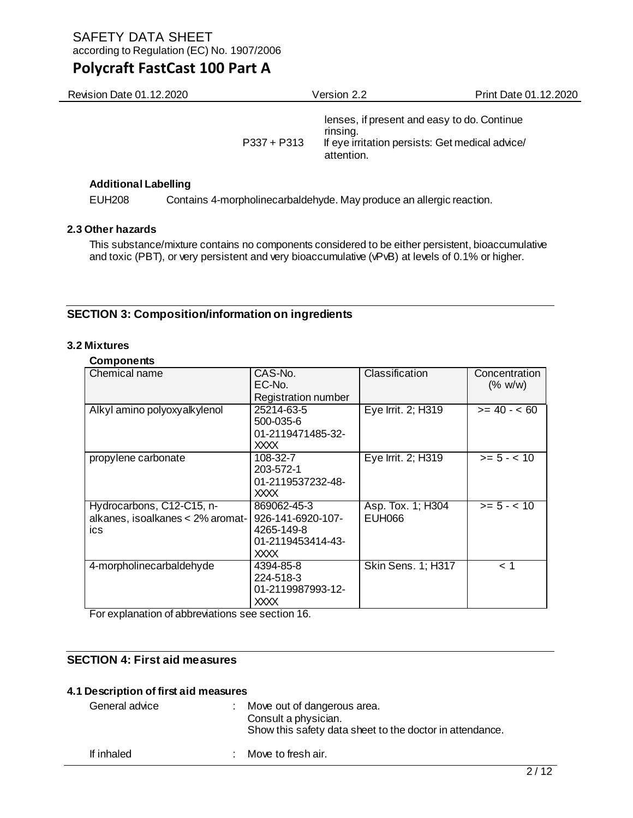| Revision Date 01.12.2020 |               | Version 2.2                                                                                                              | Print Date 01.12.2020 |
|--------------------------|---------------|--------------------------------------------------------------------------------------------------------------------------|-----------------------|
|                          | $P337 + P313$ | lenses, if present and easy to do. Continue<br>rinsing.<br>If eye irritation persists: Get medical advice/<br>attention. |                       |

## **Additional Labelling**

EUH208 Contains 4-morpholinecarbaldehyde. May produce an allergic reaction.

## **2.3 Other hazards**

This substance/mixture contains no components considered to be either persistent, bioaccumulative and toxic (PBT), or very persistent and very bioaccumulative (vPvB) at levels of 0.1% or higher.

## **SECTION 3: Composition/information on ingredients**

## **3.2 Mixtures**

#### **Components**

| Chemical name                                                        | CAS-No.<br>EC-No.<br><b>Registration number</b>                             | Classification                     | Concentration<br>(% w/w) |
|----------------------------------------------------------------------|-----------------------------------------------------------------------------|------------------------------------|--------------------------|
| Alkyl amino polyoxyalkylenol                                         | 25214-63-5<br>500-035-6<br>01-2119471485-32-<br>XXXX.                       | Eye Irrit. 2; H319                 | $>= 40 - 60$             |
| propylene carbonate                                                  | 108-32-7<br>203-572-1<br>01-2119537232-48-<br>XXXX                          | Eye Irrit. 2; H319                 | $>= 5 - < 10$            |
| Hydrocarbons, C12-C15, n-<br>alkanes, isoalkanes < 2% aromat-<br>ics | 869062-45-3<br>926-141-6920-107-<br>4265-149-8<br>01-2119453414-43-<br>XXXX | Asp. Tox. 1; H304<br><b>EUH066</b> | $>= 5 - < 10$            |
| 4-morpholinecarbaldehyde                                             | 4394-85-8<br>224-518-3<br>01-2119987993-12-<br>XXXX                         | Skin Sens. 1; H317                 | 1 >                      |

For explanation of abbreviations see section 16.

## **SECTION 4: First aid measures**

## **4.1 Description of first aid measures**

| General advice | : Move out of dangerous area.<br>Consult a physician.<br>Show this safety data sheet to the doctor in attendance. |
|----------------|-------------------------------------------------------------------------------------------------------------------|
| If inhaled     | : Move to fresh air.                                                                                              |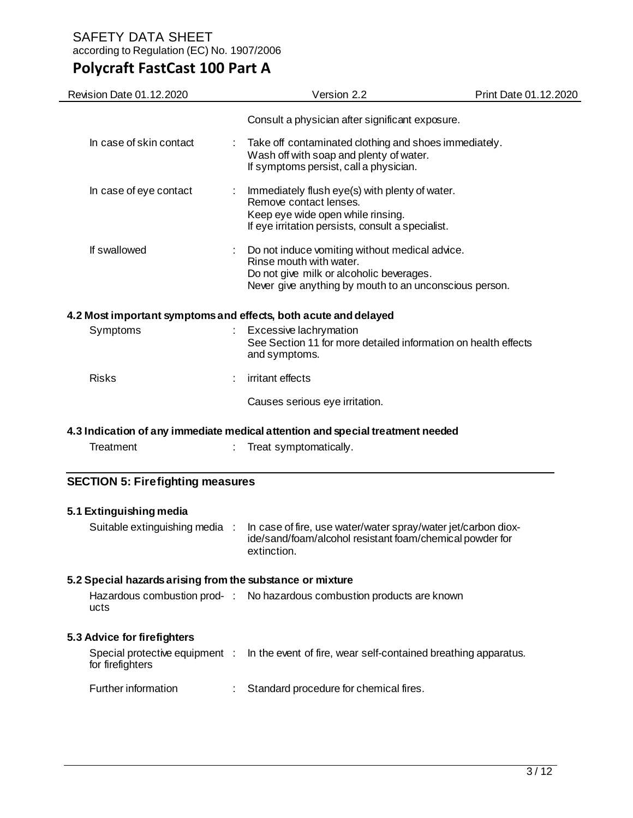# **Polycraft FastCast 100 Part A**

| Revision Date 01.12.2020                                        |  | Version 2.2                                                                                                                                                                     | Print Date 01.12.2020 |
|-----------------------------------------------------------------|--|---------------------------------------------------------------------------------------------------------------------------------------------------------------------------------|-----------------------|
|                                                                 |  | Consult a physician after significant exposure.                                                                                                                                 |                       |
| In case of skin contact                                         |  | Take off contaminated clothing and shoes immediately.<br>Wash off with soap and plenty of water.<br>If symptoms persist, call a physician.                                      |                       |
| In case of eye contact                                          |  | Immediately flush eye(s) with plenty of water.<br>Remove contact lenses.<br>Keep eye wide open while rinsing.<br>If eye irritation persists, consult a specialist.              |                       |
| If swallowed                                                    |  | Do not induce vomiting without medical advice.<br>Rinse mouth with water.<br>Do not give milk or alcoholic beverages.<br>Never give anything by mouth to an unconscious person. |                       |
| 4.2 Most important symptoms and effects, both acute and delayed |  |                                                                                                                                                                                 |                       |
| Symptoms                                                        |  | Excessive lachrymation<br>See Section 11 for more detailed information on health effects<br>and symptoms.                                                                       |                       |
| <b>Risks</b>                                                    |  | irritant effects                                                                                                                                                                |                       |
|                                                                 |  | Causes serious eye irritation.                                                                                                                                                  |                       |
|                                                                 |  | 4.3 Indication of any immediate medical attention and special treatment needed                                                                                                  |                       |
| Treatment                                                       |  | Treat symptomatically.                                                                                                                                                          |                       |
| <b>SECTION 5: Firefighting measures</b>                         |  |                                                                                                                                                                                 |                       |
| 5.1 Extinguishing media                                         |  |                                                                                                                                                                                 |                       |
| Suitable extinguishing media :                                  |  | In case of fire, use water/water spray/water jet/carbon diox-<br>ide/sand/foam/alcohol resistant foam/chemical powder for<br>extinction.                                        |                       |
| 5.2 Special hazards arising from the substance or mixture       |  |                                                                                                                                                                                 |                       |
| ucts                                                            |  | Hazardous combustion prod- : No hazardous combustion products are known                                                                                                         |                       |
| 5.3 Advice for firefighters                                     |  |                                                                                                                                                                                 |                       |
| Special protective equipment :<br>for firefighters              |  | In the event of fire, wear self-contained breathing apparatus.                                                                                                                  |                       |
| Further information                                             |  | Standard procedure for chemical fires.                                                                                                                                          |                       |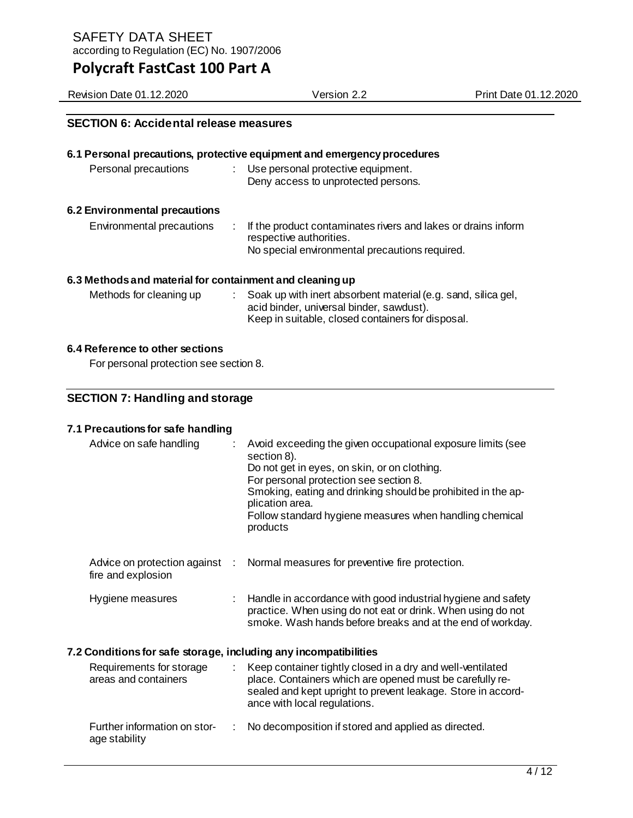Revision Date 01.12.2020 Version 2.2 Print Date 01.12.2020

## **SECTION 6: Accidental release measures**

## **6.1 Personal precautions, protective equipment and emergency procedures**  Personal precautions : Use personal protective equipment. Deny access to unprotected persons. **6.2 Environmental precautions**

| Environmental precautions | : If the product contaminates rivers and lakes or drains inform<br>respective authorities. |
|---------------------------|--------------------------------------------------------------------------------------------|
|                           | No special environmental precautions required.                                             |

## **6.3 Methods and material for containment and cleaning up**

| Methods for cleaning up | Soak up with inert absorbent material (e.g. sand, silica gel, |
|-------------------------|---------------------------------------------------------------|
|                         | acid binder, universal binder, sawdust).                      |
|                         | Keep in suitable, closed containers for disposal.             |

## **6.4 Reference to other sections**

For personal protection see section 8.

## **SECTION 7: Handling and storage**

## **7.1 Precautions for safe handling**

| Advice on safe handling                                          | Avoid exceeding the given occupational exposure limits (see<br>section 8).<br>Do not get in eyes, on skin, or on clothing.<br>For personal protection see section 8.<br>Smoking, eating and drinking should be prohibited in the ap-<br>plication area.<br>Follow standard hygiene measures when handling chemical<br>products |
|------------------------------------------------------------------|--------------------------------------------------------------------------------------------------------------------------------------------------------------------------------------------------------------------------------------------------------------------------------------------------------------------------------|
| Advice on protection against<br>fire and explosion               | Normal measures for preventive fire protection.                                                                                                                                                                                                                                                                                |
| Hygiene measures                                                 | Handle in accordance with good industrial hygiene and safety<br>practice. When using do not eat or drink. When using do not<br>smoke. Wash hands before breaks and at the end of workday.                                                                                                                                      |
| 7.2 Conditions for safe storage, including any incompatibilities |                                                                                                                                                                                                                                                                                                                                |
| Requirements for storage<br>areas and containers                 | Keep container tightly closed in a dry and well-ventilated<br>place. Containers which are opened must be carefully re-<br>sealed and kept upright to prevent leakage. Store in accord-<br>ance with local regulations.                                                                                                         |
| Further information on stor-<br>age stability                    | No decomposition if stored and applied as directed.                                                                                                                                                                                                                                                                            |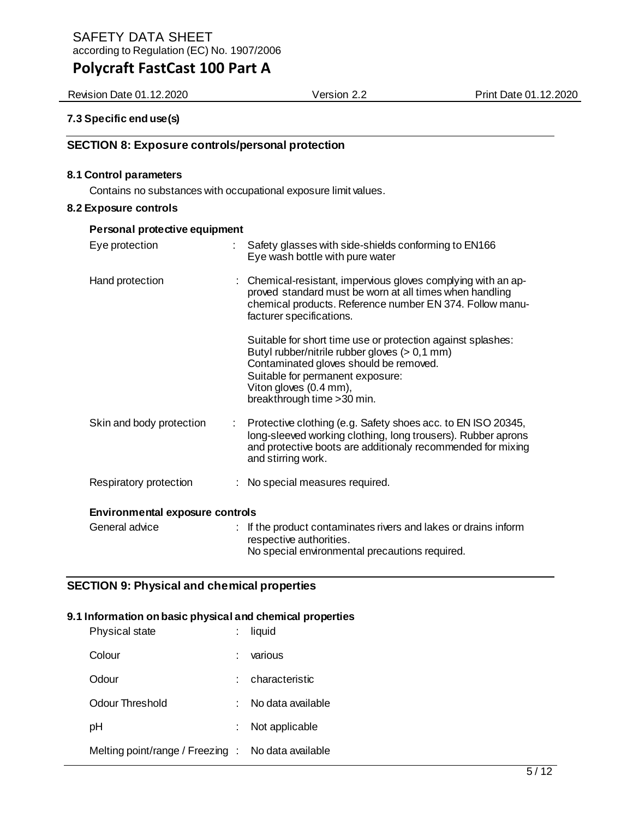Revision Date 01.12.2020 Version 2.2 Print Date 01.12.2020

## **7.3 Specific end use(s)**

## **SECTION 8: Exposure controls/personal protection**

#### **8.1 Control parameters**

Contains no substances with occupational exposure limit values.

#### **8.2 Exposure controls**

| Personal protective equipment               |                                                                                                                                                                                                                                                       |  |  |
|---------------------------------------------|-------------------------------------------------------------------------------------------------------------------------------------------------------------------------------------------------------------------------------------------------------|--|--|
| Eye protection<br>$\mathbb{R}^{\mathbb{Z}}$ | Safety glasses with side-shields conforming to EN166<br>Eye wash bottle with pure water                                                                                                                                                               |  |  |
| Hand protection                             | : Chemical-resistant, impervious gloves complying with an ap-<br>proved standard must be worn at all times when handling<br>chemical products. Reference number EN 374. Follow manu-<br>facturer specifications.                                      |  |  |
|                                             | Suitable for short time use or protection against splashes:<br>Butyl rubber/nitrile rubber gloves $(> 0.1$ mm)<br>Contaminated gloves should be removed.<br>Suitable for permanent exposure:<br>Viton gloves (0.4 mm),<br>breakthrough time > 30 min. |  |  |
| Skin and body protection<br>t.              | Protective clothing (e.g. Safety shoes acc. to EN ISO 20345,<br>long-sleeved working clothing, long trousers). Rubber aprons<br>and protective boots are additionaly recommended for mixing<br>and stirring work.                                     |  |  |
| Respiratory protection                      | : No special measures required.                                                                                                                                                                                                                       |  |  |
| <b>Environmental exposure controls</b>      |                                                                                                                                                                                                                                                       |  |  |
| General advice                              | If the product contaminates rivers and lakes or drains inform<br>respective authorities.<br>No special environmental precautions required.                                                                                                            |  |  |

## **SECTION 9: Physical and chemical properties**

#### **9.1 Information on basic physical and chemical properties**

| Physical state                                     | liquid            |
|----------------------------------------------------|-------------------|
| Colour                                             | various           |
| Odour                                              | characteristic    |
| Odour Threshold                                    | No data available |
| рH                                                 | Not applicable    |
| Melting point/range / Freezing : No data available |                   |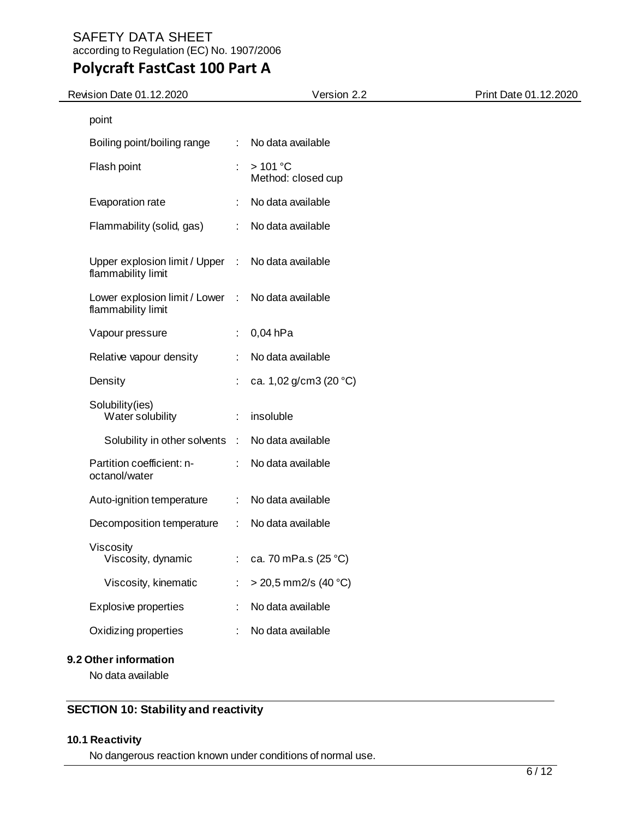## **Polycraft FastCast 100 Part A**

| <b>Revision Date 01.12.2020</b>                       |           | Version 2.2                     | Print Date 01.12.2020 |
|-------------------------------------------------------|-----------|---------------------------------|-----------------------|
| point                                                 |           |                                 |                       |
| Boiling point/boiling range                           | ÷         | No data available               |                       |
| Flash point                                           | ÷         | $>101$ °C<br>Method: closed cup |                       |
| Evaporation rate                                      |           | No data available               |                       |
| Flammability (solid, gas)                             | ÷         | No data available               |                       |
| Upper explosion limit / Upper<br>flammability limit   | $\sim 10$ | No data available               |                       |
| Lower explosion limit / Lower :<br>flammability limit |           | No data available               |                       |
| Vapour pressure                                       |           | $0,04$ hPa                      |                       |
| Relative vapour density                               |           | No data available               |                       |
| Density                                               |           | ca. 1,02 g/cm3 (20 °C)          |                       |
| Solubility (ies)<br>Water solubility                  | ÷         | insoluble                       |                       |
| Solubility in other solvents :                        |           | No data available               |                       |
| Partition coefficient: n-<br>octanol/water            | ÷         | No data available               |                       |
| Auto-ignition temperature                             | ÷         | No data available               |                       |
| Decomposition temperature                             | ÷         | No data available               |                       |
| Viscosity<br>Viscosity, dynamic                       | t,        | ca. 70 mPa.s (25 °C)            |                       |
| Viscosity, kinematic                                  |           | $>$ 20,5 mm2/s (40 °C)          |                       |
| <b>Explosive properties</b>                           |           | No data available               |                       |
| Oxidizing properties                                  |           | No data available               |                       |
|                                                       |           |                                 |                       |

## **9.2 Other information**

No data available

## **SECTION 10: Stability and reactivity**

## **10.1 Reactivity**

No dangerous reaction known under conditions of normal use.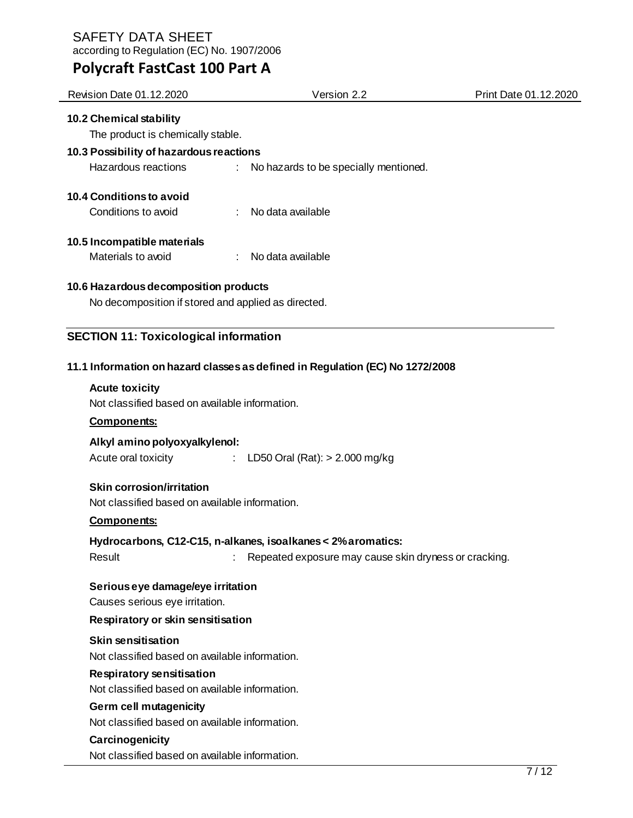SAFETY DATA SHEET

| according to Regulation (EC) No. 1907/2006          |                                                                               |                       |
|-----------------------------------------------------|-------------------------------------------------------------------------------|-----------------------|
| <b>Polycraft FastCast 100 Part A</b>                |                                                                               |                       |
| Revision Date 01.12.2020                            | Version 2.2                                                                   | Print Date 01.12.2020 |
| 10.2 Chemical stability                             |                                                                               |                       |
| The product is chemically stable.                   |                                                                               |                       |
| 10.3 Possibility of hazardous reactions             |                                                                               |                       |
| Hazardous reactions                                 | No hazards to be specially mentioned.                                         |                       |
| 10.4 Conditions to avoid                            |                                                                               |                       |
| Conditions to avoid                                 | No data available                                                             |                       |
|                                                     |                                                                               |                       |
| 10.5 Incompatible materials                         |                                                                               |                       |
| Materials to avoid                                  | No data available                                                             |                       |
| 10.6 Hazardous decomposition products               |                                                                               |                       |
| No decomposition if stored and applied as directed. |                                                                               |                       |
|                                                     |                                                                               |                       |
| <b>SECTION 11: Toxicological information</b>        |                                                                               |                       |
|                                                     | 11.1 Information on hazard classes as defined in Regulation (EC) No 1272/2008 |                       |
| <b>Acute toxicity</b>                               |                                                                               |                       |
| Not classified based on available information.      |                                                                               |                       |
| <b>Components:</b>                                  |                                                                               |                       |
| Alkyl amino polyoxyalkylenol:                       |                                                                               |                       |
| Acute oral toxicity                                 | LD50 Oral (Rat): $> 2.000$ mg/kg<br>$\mathcal{L}_{\mathrm{max}}$              |                       |
|                                                     |                                                                               |                       |
| <b>Skin corrosion/irritation</b>                    |                                                                               |                       |
| Not classified based on available information.      |                                                                               |                       |
| <b>Components:</b>                                  |                                                                               |                       |
|                                                     | Hydrocarbons, C12-C15, n-alkanes, isoalkanes < 2% aromatics:                  |                       |
| Result                                              | Repeated exposure may cause skin dryness or cracking.                         |                       |
| Serious eye damage/eye irritation                   |                                                                               |                       |
| Causes serious eye irritation.                      |                                                                               |                       |
|                                                     |                                                                               |                       |

## **Respiratory or skin sensitisation**

## **Skin sensitisation**

Not classified based on available information.

## **Respiratory sensitisation**

Not classified based on available information.

## **Germ cell mutagenicity**

Not classified based on available information.

## **Carcinogenicity**

Not classified based on available information.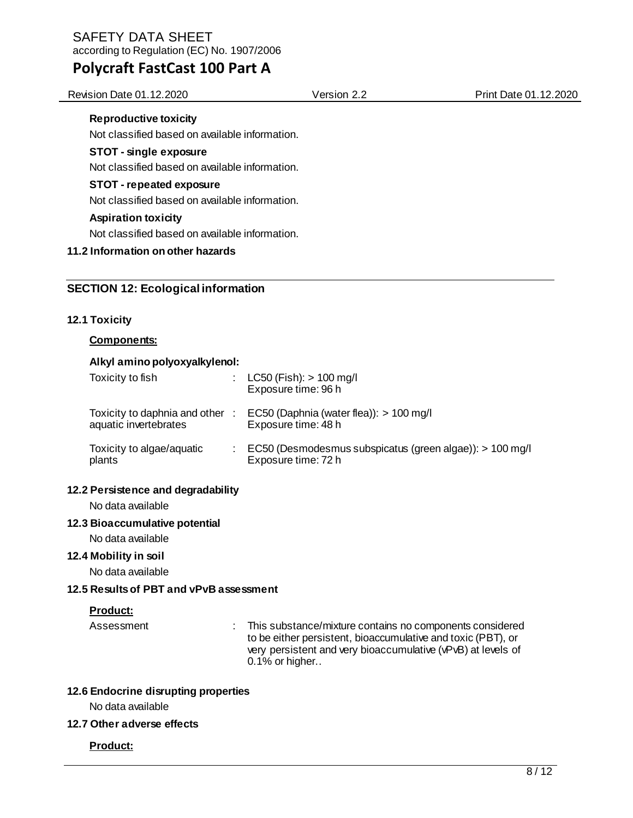## **Polycraft FastCast 100 Part A**

Revision Date 01.12.2020 Version 2.2 Print Date 01.12.2020

## **Reproductive toxicity**

Not classified based on available information.

## **STOT - single exposure**

Not classified based on available information.

## **STOT - repeated exposure**

Not classified based on available information.

## **Aspiration toxicity**

Not classified based on available information.

## **11.2 Information on other hazards**

## **SECTION 12: Ecological information**

#### **12.1 Toxicity**

## **Components:**

#### **Alkyl amino polyoxyalkylenol:**

| Toxicity to fish                                         | $LC50$ (Fish): $> 100$ mg/l<br>Exposure time: 96 h                              |
|----------------------------------------------------------|---------------------------------------------------------------------------------|
| Toxicity to daphnia and other :<br>aquatic invertebrates | EC50 (Daphnia (water flea)): $> 100$ mg/l<br>Exposure time: 48 h                |
| Toxicity to algae/aquatic<br>plants                      | EC50 (Desmodesmus subspicatus (green algae)): > 100 mg/l<br>Exposure time: 72 h |

## **12.2 Persistence and degradability**

No data available

## **12.3 Bioaccumulative potential**

No data available

#### **12.4 Mobility in soil**

No data available

## **12.5 Results of PBT and vPvB assessment**

## **Product:**

Assessment : This substance/mixture contains no components considered to be either persistent, bioaccumulative and toxic (PBT), or very persistent and very bioaccumulative (vPvB) at levels of 0.1% or higher..

#### **12.6 Endocrine disrupting properties**

No data available

#### **12.7 Other adverse effects**

## **Product:**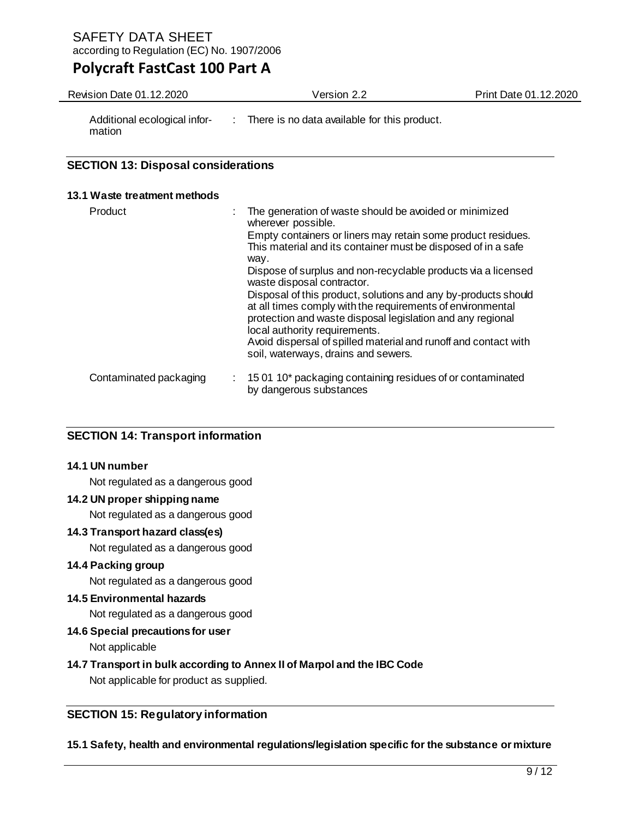## **Polycraft FastCast 100 Part A**

Revision Date 01.12.2020 Version 2.2 Print Date 01.12.2020

Additional ecological information

: There is no data available for this product.

## **SECTION 13: Disposal considerations**

## **13.1 Waste treatment methods**

| Product                |    | The generation of waste should be avoided or minimized<br>wherever possible.                                                                                                                                                |
|------------------------|----|-----------------------------------------------------------------------------------------------------------------------------------------------------------------------------------------------------------------------------|
|                        |    | Empty containers or liners may retain some product residues.<br>This material and its container must be disposed of in a safe<br>way.                                                                                       |
|                        |    | Dispose of surplus and non-recyclable products via a licensed<br>waste disposal contractor.                                                                                                                                 |
|                        |    | Disposal of this product, solutions and any by-products should<br>at all times comply with the requirements of environmental<br>protection and waste disposal legislation and any regional<br>local authority requirements. |
|                        |    | Avoid dispersal of spilled material and runoff and contact with<br>soil, waterways, drains and sewers.                                                                                                                      |
| Contaminated packaging | ÷. | 15 01 10* packaging containing residues of or contaminated<br>by dangerous substances                                                                                                                                       |

## **SECTION 14: Transport information**

#### **14.1 UN number**

Not regulated as a dangerous good

## **14.2 UN proper shipping name**

Not regulated as a dangerous good

## **14.3 Transport hazard class(es)**

Not regulated as a dangerous good

## **14.4 Packing group**

Not regulated as a dangerous good

## **14.5 Environmental hazards**

Not regulated as a dangerous good

## **14.6 Special precautions for user**

Not applicable

## **14.7 Transport in bulk according to Annex II of Marpol and the IBC Code**

Not applicable for product as supplied.

## **SECTION 15: Regulatory information**

## **15.1 Safety, health and environmental regulations/legislation specific for the substance or mixture**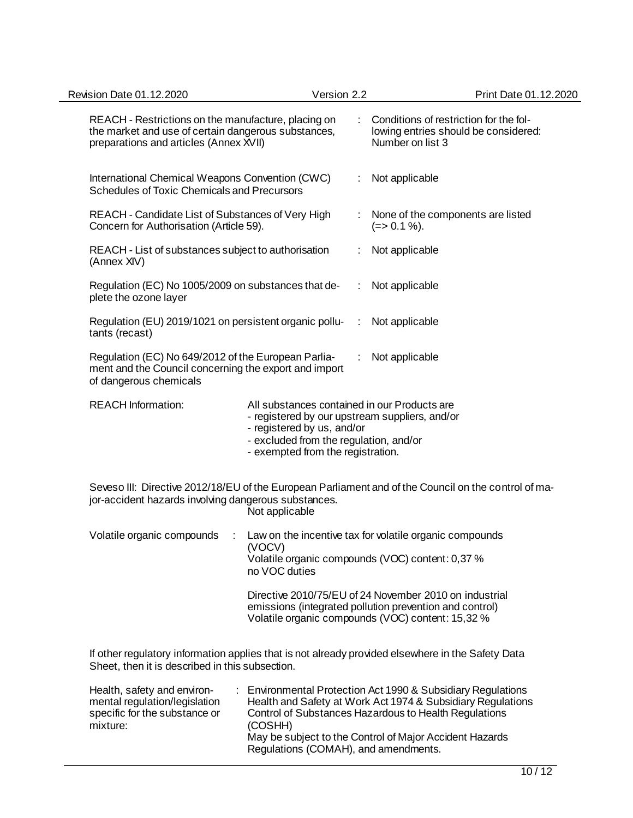| Revision Date 01.12.2020                                                                                                                                                       |                                                                                                           | Version 2.2 |                                                                                                    | Print Date 01.12.2020                                                                                                                                                  |  |  |
|--------------------------------------------------------------------------------------------------------------------------------------------------------------------------------|-----------------------------------------------------------------------------------------------------------|-------------|----------------------------------------------------------------------------------------------------|------------------------------------------------------------------------------------------------------------------------------------------------------------------------|--|--|
| REACH - Restrictions on the manufacture, placing on<br>the market and use of certain dangerous substances,<br>preparations and articles (Annex XVII)                           |                                                                                                           |             | Conditions of restriction for the fol-<br>lowing entries should be considered:<br>Number on list 3 |                                                                                                                                                                        |  |  |
| International Chemical Weapons Convention (CWC)<br><b>Schedules of Toxic Chemicals and Precursors</b>                                                                          |                                                                                                           |             | Not applicable                                                                                     |                                                                                                                                                                        |  |  |
| REACH - Candidate List of Substances of Very High<br>Concern for Authorisation (Article 59).                                                                                   |                                                                                                           |             |                                                                                                    | None of the components are listed<br>$(=>0.1\%)$ .                                                                                                                     |  |  |
| REACH - List of substances subject to authorisation<br>(Annex XIV)                                                                                                             |                                                                                                           |             |                                                                                                    | Not applicable                                                                                                                                                         |  |  |
| Regulation (EC) No 1005/2009 on substances that de-<br>plete the ozone layer                                                                                                   |                                                                                                           |             |                                                                                                    | Not applicable                                                                                                                                                         |  |  |
| Regulation (EU) 2019/1021 on persistent organic pollu-<br>tants (recast)                                                                                                       |                                                                                                           |             | ÷                                                                                                  | Not applicable                                                                                                                                                         |  |  |
| Regulation (EC) No 649/2012 of the European Parlia-<br>ment and the Council concerning the export and import<br>of dangerous chemicals                                         |                                                                                                           |             |                                                                                                    | Not applicable                                                                                                                                                         |  |  |
| <b>REACH Information:</b>                                                                                                                                                      | - registered by us, and/or<br>- excluded from the regulation, and/or<br>- exempted from the registration. |             |                                                                                                    | All substances contained in our Products are<br>- registered by our upstream suppliers, and/or                                                                         |  |  |
| Seveso III: Directive 2012/18/EU of the European Parliament and of the Council on the control of ma-<br>jor-accident hazards involving dangerous substances.<br>Not applicable |                                                                                                           |             |                                                                                                    |                                                                                                                                                                        |  |  |
| Volatile organic compounds                                                                                                                                                     | (VOCV)<br>no VOC duties                                                                                   |             |                                                                                                    | Law on the incentive tax for volatile organic compounds<br>Volatile organic compounds (VOC) content: 0,37 %                                                            |  |  |
|                                                                                                                                                                                |                                                                                                           |             |                                                                                                    | Directive 2010/75/EU of 24 November 2010 on industrial<br>emissions (integrated pollution prevention and control)<br>Volatile organic compounds (VOC) content: 15,32 % |  |  |
| Sheet, then it is described in this subsection.                                                                                                                                |                                                                                                           |             |                                                                                                    | If other regulatory information applies that is not already provided elsewhere in the Safety Data                                                                      |  |  |
|                                                                                                                                                                                |                                                                                                           |             |                                                                                                    | Destasting Ast 4000.0 Outsidian Dam                                                                                                                                    |  |  |

| Health, safety and environ-   | Environmental Protection Act 1990 & Subsidiary Regulations  |
|-------------------------------|-------------------------------------------------------------|
| mental regulation/legislation | Health and Safety at Work Act 1974 & Subsidiary Regulations |
| specific for the substance or | Control of Substances Hazardous to Health Regulations       |
| mixture:                      | (COSHH)                                                     |
|                               | May be subject to the Control of Major Accident Hazards     |
|                               | Regulations (COMAH), and amendments.                        |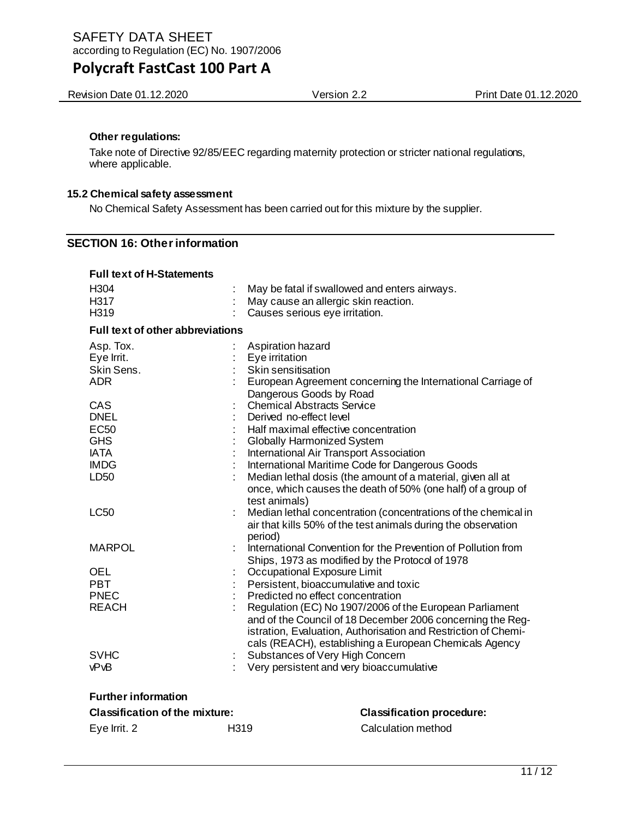Revision Date 01.12.2020 **Version 2.2** Version 2.2 Print Date 01.12.2020

#### **Other regulations:**

Take note of Directive 92/85/EEC regarding maternity protection or stricter national regulations, where applicable.

#### **15.2 Chemical safety assessment**

No Chemical Safety Assessment has been carried out for this mixture by the supplier.

## **SECTION 16: Other information**

| <b>Full text of H-Statements</b>        |                                                                                                                                            |
|-----------------------------------------|--------------------------------------------------------------------------------------------------------------------------------------------|
| H <sub>304</sub>                        | May be fatal if swallowed and enters airways.                                                                                              |
| H317                                    | May cause an allergic skin reaction.                                                                                                       |
| H319                                    | Causes serious eye irritation.                                                                                                             |
| <b>Full text of other abbreviations</b> |                                                                                                                                            |
| Asp. Tox.                               | Aspiration hazard                                                                                                                          |
| Eye Irrit.                              | Eye irritation                                                                                                                             |
| Skin Sens.                              | Skin sensitisation                                                                                                                         |
| <b>ADR</b>                              | European Agreement concerning the International Carriage of                                                                                |
|                                         | Dangerous Goods by Road                                                                                                                    |
| CAS                                     | <b>Chemical Abstracts Service</b>                                                                                                          |
| <b>DNEL</b>                             | Derived no-effect level                                                                                                                    |
| <b>EC50</b>                             | Half maximal effective concentration                                                                                                       |
| <b>GHS</b>                              | <b>Globally Harmonized System</b>                                                                                                          |
| <b>IATA</b>                             | International Air Transport Association                                                                                                    |
| <b>IMDG</b>                             | International Maritime Code for Dangerous Goods                                                                                            |
| LD <sub>50</sub>                        | Median lethal dosis (the amount of a material, given all at<br>once, which causes the death of 50% (one half) of a group of                |
|                                         | test animals)                                                                                                                              |
| <b>LC50</b>                             | Median lethal concentration (concentrations of the chemical in<br>air that kills 50% of the test animals during the observation<br>period) |
| <b>MARPOL</b>                           | International Convention for the Prevention of Pollution from                                                                              |
|                                         | Ships, 1973 as modified by the Protocol of 1978                                                                                            |
| <b>OEL</b>                              | Occupational Exposure Limit                                                                                                                |
| <b>PBT</b>                              | Persistent, bioaccumulative and toxic                                                                                                      |
| <b>PNEC</b>                             | Predicted no effect concentration                                                                                                          |
| <b>REACH</b>                            | Regulation (EC) No 1907/2006 of the European Parliament                                                                                    |
|                                         | and of the Council of 18 December 2006 concerning the Reg-                                                                                 |
|                                         | istration, Evaluation, Authorisation and Restriction of Chemi-                                                                             |
|                                         | cals (REACH), establishing a European Chemicals Agency                                                                                     |
| <b>SVHC</b>                             | Substances of Very High Concern                                                                                                            |
| vPvB                                    | Very persistent and very bioaccumulative                                                                                                   |
| <b>Further information</b>              |                                                                                                                                            |
| <b>Classification of the mixture:</b>   | <b>Classification procedure:</b>                                                                                                           |
|                                         |                                                                                                                                            |

| וטושאוווי טו שוט ווטאוסטוויט |      | <b>PROPRITUATION AND A</b> |  |  |
|------------------------------|------|----------------------------|--|--|
| Eye Irrit. 2                 | H319 | Calculation method         |  |  |